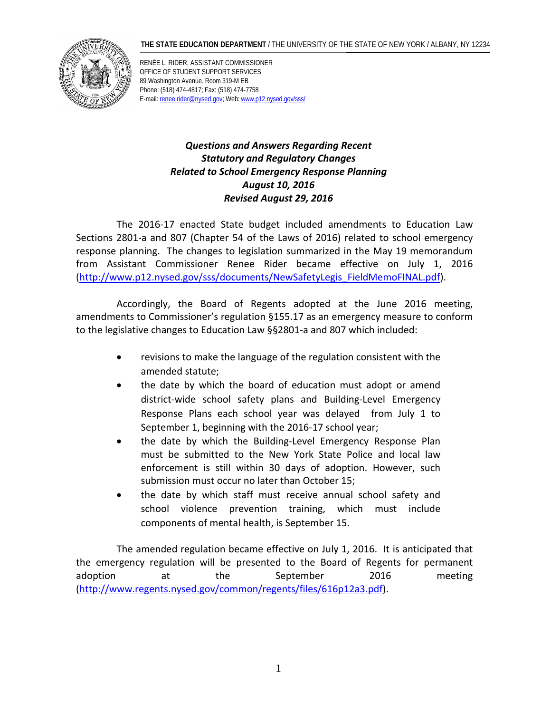#### **THE STATE EDUCATION DEPARTMENT** / THE UNIVERSITY OF THE STATE OF NEW YORK / ALBANY, NY 12234



RENÉE L. RIDER, ASSISTANT COMMISSIONER OFFICE OF STUDENT SUPPORT SERVICES 89 Washington Avenue, Room 319-M EB Phone: (518) 474-4817; Fax: (518) 474-7758 E-mail: [renee.rider@nysed.gov;](mailto:renee.rider@nysed.gov) [Web: www.p12.nysed.gov](http://www.p12.nysed.gov/sss/)/sss/

### *Questions and Answers Regarding Recent Statutory and Regulatory Changes Related to School Emergency Response Planning August 10, 2016 Revised August 29, 2016*

The 2016-17 enacted State budget included amendments to Education Law Sections 2801-a and 807 (Chapter 54 of the Laws of 2016) related to school emergency response planning. The changes to legislation summarized in the May 19 memorandum from Assistant Commissioner Renee Rider became effective on July 1, 2016 [\(http://www.p12.nysed.gov/sss/documents/NewSafetyLegis\\_FieldMemoFINAL.pdf\)](http://www.p12.nysed.gov/sss/documents/NewSafetyLegis_FieldMemoFINAL.pdf).

Accordingly, the Board of Regents adopted at the June 2016 meeting, amendments to Commissioner's regulation §155.17 as an emergency measure to conform to the legislative changes to Education Law §§2801-a and 807 which included:

- revisions to make the language of the regulation consistent with the amended statute;
- the date by which the board of education must adopt or amend district-wide school safety plans and Building-Level Emergency Response Plans each school year was delayed from July 1 to September 1, beginning with the 2016-17 school year;
- the date by which the Building-Level Emergency Response Plan must be submitted to the New York State Police and local law enforcement is still within 30 days of adoption. However, such submission must occur no later than October 15;
- the date by which staff must receive annual school safety and school violence prevention training, which must include components of mental health, is September 15.

The amended regulation became effective on July 1, 2016. It is anticipated that the emergency regulation will be presented to the Board of Regents for permanent adoption at the September 2016 meeting [\(http://www.regents.nysed.gov/common/regents/files/616p12a3.pdf\)](http://www.regents.nysed.gov/common/regents/files/616p12a3.pdf).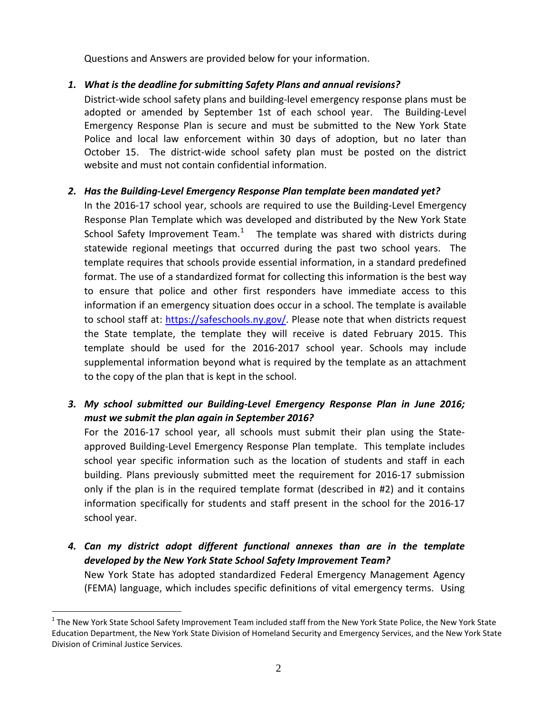Questions and Answers are provided below for your information.

### *1. What is the deadline for submitting Safety Plans and annual revisions?*

District-wide school safety plans and building-level emergency response plans must be adopted or amended by September 1st of each school year. The Building-Level Emergency Response Plan is secure and must be submitted to the New York State Police and local law enforcement within 30 days of adoption, but no later than October 15. The district-wide school safety plan must be posted on the district website and must not contain confidential information.

#### *2. Has the Building-Level Emergency Response Plan template been mandated yet?*

In the 2016-17 school year, schools are required to use the Building-Level Emergency Response Plan Template which was developed and distributed by the New York State School Safety Improvement Team. $1$  The template was shared with districts during statewide regional meetings that occurred during the past two school years. The template requires that schools provide essential information, in a standard predefined format. The use of a standardized format for collecting this information is the best way to ensure that police and other first responders have immediate access to this information if an emergency situation does occur in a school. The template is available to school staff at: [https://safeschools.ny.gov/.](https://safeschools.ny.gov/) Please note that when districts request the State template, the template they will receive is dated February 2015. This template should be used for the 2016-2017 school year. Schools may include supplemental information beyond what is required by the template as an attachment to the copy of the plan that is kept in the school.

# *3. My school submitted our Building-Level Emergency Response Plan in June 2016; must we submit the plan again in September 2016?*

For the 2016-17 school year, all schools must submit their plan using the Stateapproved Building-Level Emergency Response Plan template. This template includes school year specific information such as the location of students and staff in each building. Plans previously submitted meet the requirement for 2016-17 submission only if the plan is in the required template format (described in #2) and it contains information specifically for students and staff present in the school for the 2016-17 school year.

*4. Can my district adopt different functional annexes than are in the template developed by the New York State School Safety Improvement Team?*  New York State has adopted standardized Federal Emergency Management Agency (FEMA) language, which includes specific definitions of vital emergency terms. Using

<span id="page-1-0"></span> $1$  The New York State School Safety Improvement Team included staff from the New York State Police, the New York State Education Department, the New York State Division of Homeland Security and Emergency Services, and the New York State Division of Criminal Justice Services.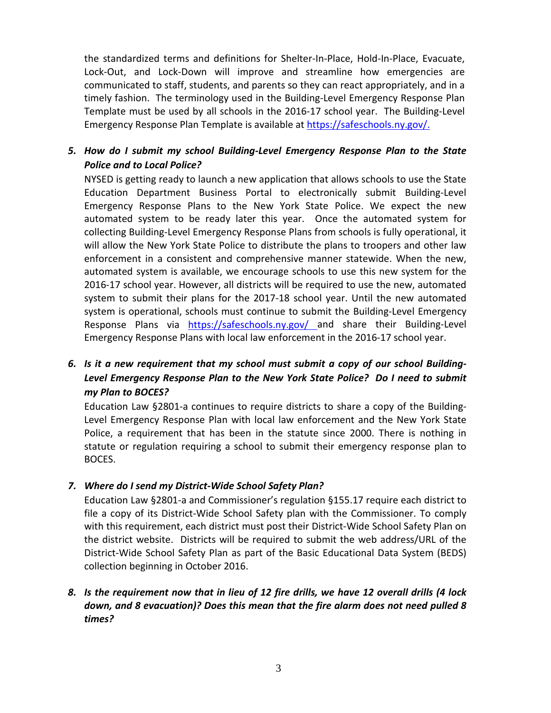the standardized terms and definitions for Shelter-In-Place, Hold-In-Place, Evacuate, Lock-Out, and Lock-Down will improve and streamline how emergencies are communicated to staff, students, and parents so they can react appropriately, and in a timely fashion. The terminology used in the Building-Level Emergency Response Plan Template must be used by all schools in the 2016-17 school year. The Building-Level Emergency Response Plan Template is available at [https://safeschools.ny.gov/.](https://safeschools.ny.gov/)

# *5. How do I submit my school Building-Level Emergency Response Plan to the State Police and to Local Police?*

NYSED is getting ready to launch a new application that allows schools to use the State Education Department Business Portal to electronically submit Building-Level Emergency Response Plans to the New York State Police. We expect the new automated system to be ready later this year. Once the automated system for collecting Building-Level Emergency Response Plans from schools is fully operational, it will allow the New York State Police to distribute the plans to troopers and other law enforcement in a consistent and comprehensive manner statewide. When the new, automated system is available, we encourage schools to use this new system for the 2016-17 school year. However, all districts will be required to use the new, automated system to submit their plans for the 2017-18 school year. Until the new automated system is operational, schools must continue to submit the Building-Level Emergency Response Plans via <https://safeschools.ny.gov/> and share their Building-Level Emergency Response Plans with local law enforcement in the 2016-17 school year.

# *6. Is it a new requirement that my school must submit a copy of our school Building-Level Emergency Response Plan to the New York State Police? Do I need to submit my Plan to BOCES?*

Education Law §2801-a continues to require districts to share a copy of the Building-Level Emergency Response Plan with local law enforcement and the New York State Police, a requirement that has been in the statute since 2000. There is nothing in statute or regulation requiring a school to submit their emergency response plan to BOCES.

*7. Where do I send my District-Wide School Safety Plan?*

Education Law §2801-a and Commissioner's regulation §155.17 require each district to file a copy of its District-Wide School Safety plan with the Commissioner. To comply with this requirement, each district must post their District-Wide School Safety Plan on the district website. Districts will be required to submit the web address/URL of the District-Wide School Safety Plan as part of the Basic Educational Data System (BEDS) collection beginning in October 2016.

#### *8. Is the requirement now that in lieu of 12 fire drills, we have 12 overall drills (4 lock down, and 8 evacuation)? Does this mean that the fire alarm does not need pulled 8 times?*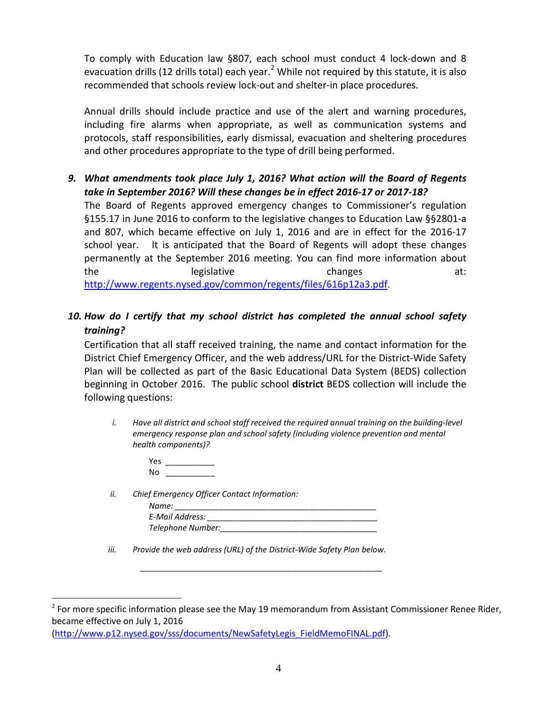To comply with Education law §807, each school must conduct 4 lock-down and 8 evacuation drills (1[2](#page-3-0) drills total) each year.<sup>2</sup> While not required by this statute, it is also recommended that schools review lock-out and shelter-in place procedures.

Annual drills should include practice and use of the alert and warning procedures, including fire alarms when appropriate, as well as communication systems and protocols, staff responsibilities, early dismissal, evacuation and sheltering procedures and other procedures appropriate to the type of drill being performed.

*9. What amendments took place July 1, 2016? What action will the Board of Regents take in September 2016? Will these changes be in effect 2016-17 or 2017-18?*

The Board of Regents approved emergency changes to Commissioner's regulation §155.17 in June 2016 to conform to the legislative changes to Education Law §§2801-a and 807, which became effective on July 1, 2016 and are in effect for the 2016-17 school year. It is anticipated that the Board of Regents will adopt these changes permanently at the September 2016 meeting. You can find more information about the legislative changes at: [http://www.regents.nysed.gov/common/regents/files/616p12a3.pdf.](http://www.regents.nysed.gov/common/regents/files/616p12a3.pdf)

# *10. How do I certify that my school district has completed the annual school safety training?*

Certification that all staff received training, the name and contact information for the District Chief Emergency Officer, and the web address/URL for the District-Wide Safety Plan will be collected as part of the Basic Educational Data System (BEDS) collection beginning in October 2016. The public school **district** BEDS collection will include the following questions:

*i. Have all district and school staff received the required annual training on the building-level emergency response plan and school safety (including violence prevention and mental health components)?*

- Yes \_\_\_\_\_\_\_\_\_\_\_  $\mathsf{No}$
- *ii. Chief Emergency Officer Contact Information:*

| Name:             |  |
|-------------------|--|
| E-Mail Address:   |  |
| Telephone Number: |  |

*\_\_\_\_\_\_\_\_\_\_\_\_\_\_\_\_\_\_\_\_\_\_\_\_\_\_\_\_\_\_\_\_\_\_\_\_\_\_\_\_\_\_\_\_\_\_\_\_\_\_\_\_\_\_*

*iii. Provide the web address (URL) of the District-Wide Safety Plan below.*

[\(http://www.p12.nysed.gov/sss/documents/NewSafetyLegis\\_FieldMemoFINAL.pdf\)](http://www.p12.nysed.gov/sss/documents/NewSafetyLegis_FieldMemoFINAL.pdf).

<span id="page-3-0"></span> $\overline{a}$  $2$  For more specific information please see the May 19 memorandum from Assistant Commissioner Renee Rider, became effective on July 1, 2016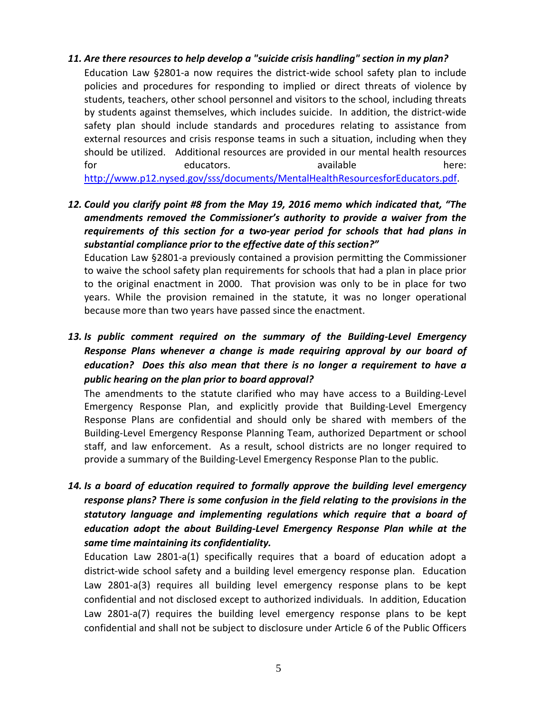#### *11. Are there resources to help develop a "suicide crisis handling" section in my plan?*

Education Law §2801-a now requires the district-wide school safety plan to include policies and procedures for responding to implied or direct threats of violence by students, teachers, other school personnel and visitors to the school, including threats by students against themselves, which includes suicide. In addition, the district-wide safety plan should include standards and procedures relating to assistance from external resources and crisis response teams in such a situation, including when they should be utilized. Additional resources are provided in our mental health resources for the educators. The educators available there: [http://www.p12.nysed.gov/sss/documents/MentalHealthResourcesforEducators.pdf.](http://www.p12.nysed.gov/sss/documents/MentalHealthResourcesforEducators.pdf)

*12. Could you clarify point #8 from the May 19, 2016 memo which indicated that, "The amendments removed the Commissioner's authority to provide a waiver from the requirements of this section for a two-year period for schools that had plans in substantial compliance prior to the effective date of this section?"*

Education Law §2801-a previously contained a provision permitting the Commissioner to waive the school safety plan requirements for schools that had a plan in place prior to the original enactment in 2000. That provision was only to be in place for two years. While the provision remained in the statute, it was no longer operational because more than two years have passed since the enactment.

*13. Is public comment required on the summary of the Building-Level Emergency Response Plans whenever a change is made requiring approval by our board of education? Does this also mean that there is no longer a requirement to have a public hearing on the plan prior to board approval?*

The amendments to the statute clarified who may have access to a Building-Level Emergency Response Plan, and explicitly provide that Building-Level Emergency Response Plans are confidential and should only be shared with members of the Building-Level Emergency Response Planning Team, authorized Department or school staff, and law enforcement. As a result, school districts are no longer required to provide a summary of the Building-Level Emergency Response Plan to the public.

*14. Is a board of education required to formally approve the building level emergency response plans? There is some confusion in the field relating to the provisions in the statutory language and implementing regulations which require that a board of education adopt the about Building-Level Emergency Response Plan while at the same time maintaining its confidentiality.* 

Education Law 2801-a(1) specifically requires that a board of education adopt a district-wide school safety and a building level emergency response plan. Education Law 2801-a(3) requires all building level emergency response plans to be kept confidential and not disclosed except to authorized individuals. In addition, Education Law 2801-a(7) requires the building level emergency response plans to be kept confidential and shall not be subject to disclosure under Article 6 of the Public Officers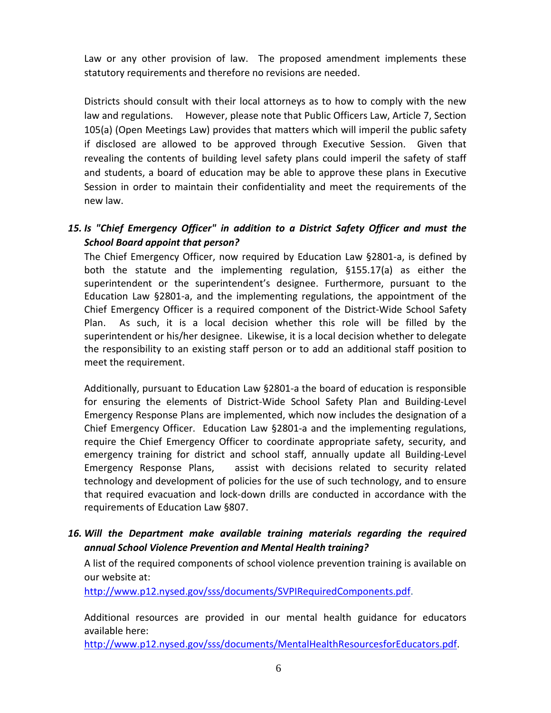Law or any other provision of law. The proposed amendment implements these statutory requirements and therefore no revisions are needed.

Districts should consult with their local attorneys as to how to comply with the new law and regulations. However, please note that Public Officers Law, Article 7, Section 105(a) (Open Meetings Law) provides that matters which will imperil the public safety if disclosed are allowed to be approved through Executive Session. Given that revealing the contents of building level safety plans could imperil the safety of staff and students, a board of education may be able to approve these plans in Executive Session in order to maintain their confidentiality and meet the requirements of the new law.

# *15. Is "Chief Emergency Officer" in addition to a District Safety Officer and must the School Board appoint that person?*

The Chief Emergency Officer, now required by Education Law §2801-a, is defined by both the statute and the implementing regulation, §155.17(a) as either the superintendent or the superintendent's designee. Furthermore, pursuant to the Education Law §2801-a, and the implementing regulations, the appointment of the Chief Emergency Officer is a required component of the District-Wide School Safety Plan. As such, it is a local decision whether this role will be filled by the superintendent or his/her designee. Likewise, it is a local decision whether to delegate the responsibility to an existing staff person or to add an additional staff position to meet the requirement.

Additionally, pursuant to Education Law §2801-a the board of education is responsible for ensuring the elements of District-Wide School Safety Plan and Building-Level Emergency Response Plans are implemented, which now includes the designation of a Chief Emergency Officer. Education Law §2801-a and the implementing regulations, require the Chief Emergency Officer to coordinate appropriate safety, security, and emergency training for district and school staff, annually update all Building-Level Emergency Response Plans, assist with decisions related to security related technology and development of policies for the use of such technology, and to ensure that required evacuation and lock-down drills are conducted in accordance with the requirements of Education Law §807.

#### *16. Will the Department make available training materials regarding the required annual School Violence Prevention and Mental Health training?*

A list of the required components of school violence prevention training is available on our website at:

[http://www.p12.nysed.gov/sss/documents/SVPIRequiredComponents.pdf.](http://www.p12.nysed.gov/sss/documents/SVPIRequiredComponents.pdf)

Additional resources are provided in our mental health guidance for educators available here:

[http://www.p12.nysed.gov/sss/documents/MentalHealthResourcesforEducators.pdf.](http://www.p12.nysed.gov/sss/documents/MentalHealthResourcesforEducators.pdf)